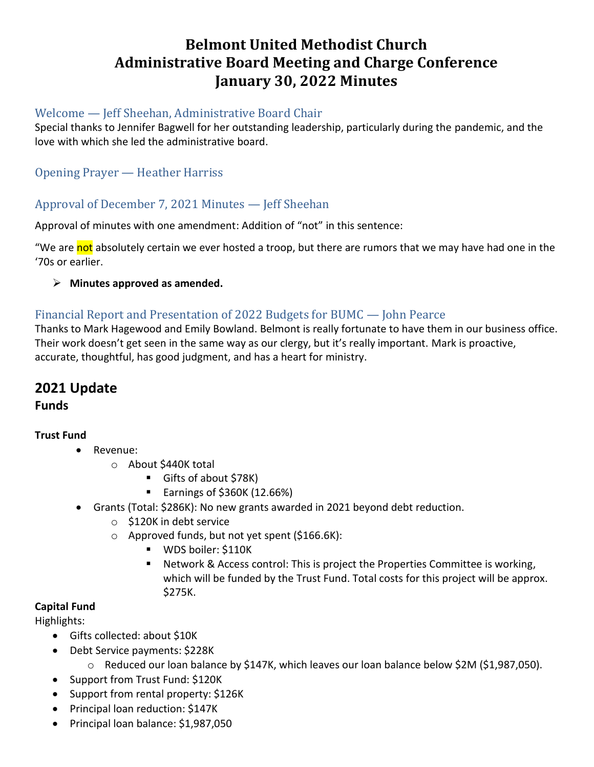# **Belmont United Methodist Church Administrative Board Meeting and Charge Conference January 30, 2022 Minutes**

#### Welcome — Jeff Sheehan, Administrative Board Chair

Special thanks to Jennifer Bagwell for her outstanding leadership, particularly during the pandemic, and the love with which she led the administrative board.

## Opening Prayer — Heather Harriss

## Approval of December 7, 2021 Minutes — Jeff Sheehan

Approval of minutes with one amendment: Addition of "not" in this sentence:

"We are not absolutely certain we ever hosted a troop, but there are rumors that we may have had one in the '70s or earlier.

➢ **Minutes approved as amended.**

### Financial Report and Presentation of 2022 Budgets for BUMC — John Pearce

Thanks to Mark Hagewood and Emily Bowland. Belmont is really fortunate to have them in our business office. Their work doesn't get seen in the same way as our clergy, but it's really important. Mark is proactive, accurate, thoughtful, has good judgment, and has a heart for ministry.

# **2021 Update**

**Funds**

#### **Trust Fund**

- Revenue:
	- o About \$440K total
		- Gifts of about \$78K)
		- Earnings of \$360K (12.66%)
- Grants (Total: \$286K): No new grants awarded in 2021 beyond debt reduction.
	- o \$120K in debt service
	- o Approved funds, but not yet spent (\$166.6K):
		- WDS boiler: \$110K
		- Network & Access control: This is project the Properties Committee is working, which will be funded by the Trust Fund. Total costs for this project will be approx. \$275K.

#### **Capital Fund**

Highlights:

- Gifts collected: about \$10K
- Debt Service payments: \$228K
	- o Reduced our loan balance by \$147K, which leaves our loan balance below \$2M (\$1,987,050).
- Support from Trust Fund: \$120K
- Support from rental property: \$126K
- Principal loan reduction: \$147K
- Principal loan balance: \$1,987,050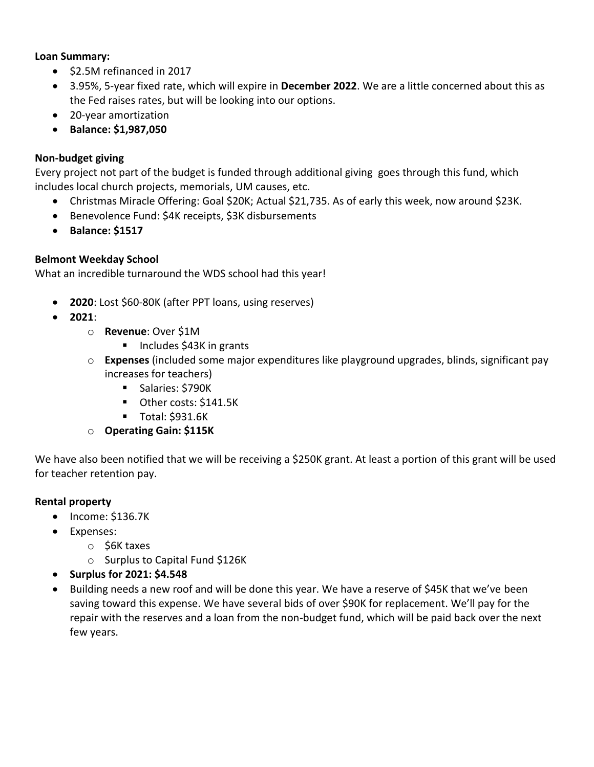#### **Loan Summary:**

- \$2.5M refinanced in 2017
- 3.95%, 5-year fixed rate, which will expire in **December 2022**. We are a little concerned about this as the Fed raises rates, but will be looking into our options.
- 20-year amortization
- **Balance: \$1,987,050**

#### **Non-budget giving**

Every project not part of the budget is funded through additional giving goes through this fund, which includes local church projects, memorials, UM causes, etc.

- Christmas Miracle Offering: Goal \$20K; Actual \$21,735. As of early this week, now around \$23K.
- Benevolence Fund: \$4K receipts, \$3K disbursements
- **Balance: \$1517**

#### **Belmont Weekday School**

What an incredible turnaround the WDS school had this year!

- **2020**: Lost \$60-80K (after PPT loans, using reserves)
- **2021**:
	- o **Revenue**: Over \$1M
		- Includes \$43K in grants
	- o **Expenses** (included some major expenditures like playground upgrades, blinds, significant pay increases for teachers)
		- Salaries: \$790K
		- Other costs: \$141.5K
		- Total: \$931.6K
	- o **Operating Gain: \$115K**

We have also been notified that we will be receiving a \$250K grant. At least a portion of this grant will be used for teacher retention pay.

#### **Rental property**

- Income: \$136.7K
- Expenses:
	- o \$6K taxes
	- o Surplus to Capital Fund \$126K
- **Surplus for 2021: \$4.548**
- Building needs a new roof and will be done this year. We have a reserve of \$45K that we've been saving toward this expense. We have several bids of over \$90K for replacement. We'll pay for the repair with the reserves and a loan from the non-budget fund, which will be paid back over the next few years.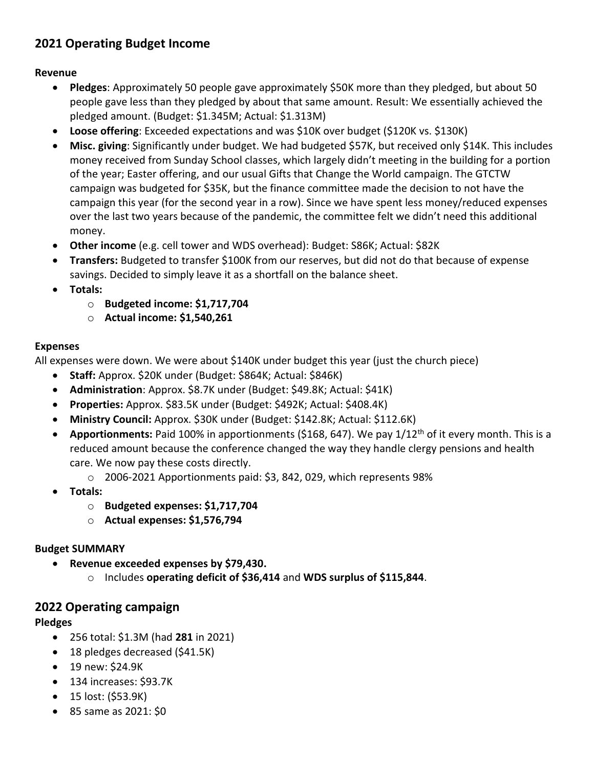## **2021 Operating Budget Income**

#### **Revenue**

- **Pledges**: Approximately 50 people gave approximately \$50K more than they pledged, but about 50 people gave less than they pledged by about that same amount. Result: We essentially achieved the pledged amount. (Budget: \$1.345M; Actual: \$1.313M)
- **Loose offering**: Exceeded expectations and was \$10K over budget (\$120K vs. \$130K)
- **Misc. giving**: Significantly under budget. We had budgeted \$57K, but received only \$14K. This includes money received from Sunday School classes, which largely didn't meeting in the building for a portion of the year; Easter offering, and our usual Gifts that Change the World campaign. The GTCTW campaign was budgeted for \$35K, but the finance committee made the decision to not have the campaign this year (for the second year in a row). Since we have spent less money/reduced expenses over the last two years because of the pandemic, the committee felt we didn't need this additional money.
- **Other income** (e.g. cell tower and WDS overhead): Budget: S86K; Actual: \$82K
- **Transfers:** Budgeted to transfer \$100K from our reserves, but did not do that because of expense savings. Decided to simply leave it as a shortfall on the balance sheet.
- **Totals:**
	- o **Budgeted income: \$1,717,704**
	- o **Actual income: \$1,540,261**

#### **Expenses**

All expenses were down. We were about \$140K under budget this year (just the church piece)

- **Staff:** Approx. \$20K under (Budget: \$864K; Actual: \$846K)
- **Administration**: Approx. \$8.7K under (Budget: \$49.8K; Actual: \$41K)
- **Properties:** Approx. \$83.5K under (Budget: \$492K; Actual: \$408.4K)
- **Ministry Council:** Approx. \$30K under (Budget: \$142.8K; Actual: \$112.6K)
- **Apportionments:** Paid 100% in apportionments (\$168, 647). We pay 1/12th of it every month. This is a reduced amount because the conference changed the way they handle clergy pensions and health care. We now pay these costs directly.
	- o 2006-2021 Apportionments paid: \$3, 842, 029, which represents 98%
- **Totals:**
	- o **Budgeted expenses: \$1,717,704**
	- o **Actual expenses: \$1,576,794**

#### **Budget SUMMARY**

- **Revenue exceeded expenses by \$79,430.** 
	- o Includes **operating deficit of \$36,414** and **WDS surplus of \$115,844**.

#### **2022 Operating campaign**

#### **Pledges**

- 256 total: \$1.3M (had **281** in 2021)
- 18 pledges decreased (\$41.5K)
- 19 new: \$24.9K
- 134 increases: \$93.7K
- 15 lost: (\$53.9K)
- 85 same as 2021: \$0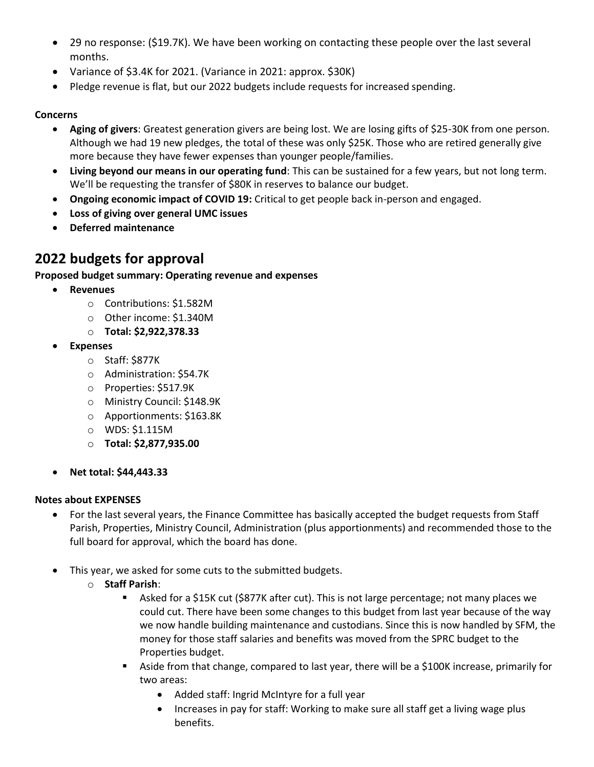- 29 no response: (\$19.7K). We have been working on contacting these people over the last several months.
- Variance of \$3.4K for 2021. (Variance in 2021: approx. \$30K)
- Pledge revenue is flat, but our 2022 budgets include requests for increased spending.

#### **Concerns**

- **Aging of givers**: Greatest generation givers are being lost. We are losing gifts of \$25-30K from one person. Although we had 19 new pledges, the total of these was only \$25K. Those who are retired generally give more because they have fewer expenses than younger people/families.
- **Living beyond our means in our operating fund**: This can be sustained for a few years, but not long term. We'll be requesting the transfer of \$80K in reserves to balance our budget.
- **Ongoing economic impact of COVID 19:** Critical to get people back in-person and engaged.
- **Loss of giving over general UMC issues**
- **Deferred maintenance**

## **2022 budgets for approval**

#### **Proposed budget summary: Operating revenue and expenses**

- **Revenues**
	- o Contributions: \$1.582M
	- o Other income: \$1.340M
	- o **Total: \$2,922,378.33**
- **Expenses**
	- o Staff: \$877K
	- o Administration: \$54.7K
	- o Properties: \$517.9K
	- o Ministry Council: \$148.9K
	- o Apportionments: \$163.8K
	- o WDS: \$1.115M
	- o **Total: \$2,877,935.00**
- **Net total: \$44,443.33**

#### **Notes about EXPENSES**

- For the last several years, the Finance Committee has basically accepted the budget requests from Staff Parish, Properties, Ministry Council, Administration (plus apportionments) and recommended those to the full board for approval, which the board has done.
- This year, we asked for some cuts to the submitted budgets.
	- o **Staff Parish**:
		- Asked for a \$15K cut (\$877K after cut). This is not large percentage; not many places we could cut. There have been some changes to this budget from last year because of the way we now handle building maintenance and custodians. Since this is now handled by SFM, the money for those staff salaries and benefits was moved from the SPRC budget to the Properties budget.
		- Aside from that change, compared to last year, there will be a \$100K increase, primarily for two areas:
			- Added staff: Ingrid McIntyre for a full year
			- Increases in pay for staff: Working to make sure all staff get a living wage plus benefits.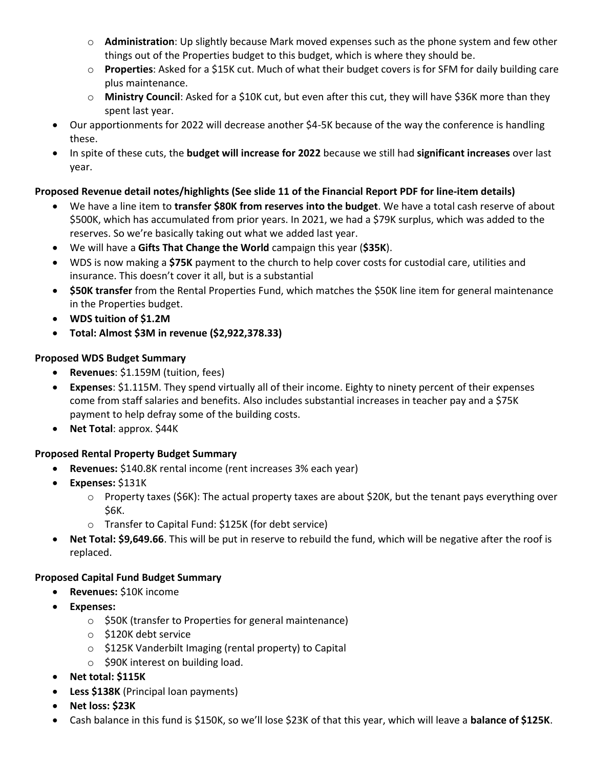- o **Administration**: Up slightly because Mark moved expenses such as the phone system and few other things out of the Properties budget to this budget, which is where they should be.
- o **Properties**: Asked for a \$15K cut. Much of what their budget covers is for SFM for daily building care plus maintenance.
- o **Ministry Council**: Asked for a \$10K cut, but even after this cut, they will have \$36K more than they spent last year.
- Our apportionments for 2022 will decrease another \$4-5K because of the way the conference is handling these.
- In spite of these cuts, the **budget will increase for 2022** because we still had **significant increases** over last year.

#### **Proposed Revenue detail notes/highlights (See slide 11 of the Financial Report PDF for line-item details)**

- We have a line item to **transfer \$80K from reserves into the budget**. We have a total cash reserve of about \$500K, which has accumulated from prior years. In 2021, we had a \$79K surplus, which was added to the reserves. So we're basically taking out what we added last year.
- We will have a **Gifts That Change the World** campaign this year (**\$35K**).
- WDS is now making a **\$75K** payment to the church to help cover costs for custodial care, utilities and insurance. This doesn't cover it all, but is a substantial
- **\$50K transfer** from the Rental Properties Fund, which matches the \$50K line item for general maintenance in the Properties budget.
- **WDS tuition of \$1.2M**
- **Total: Almost \$3M in revenue (\$2,922,378.33)**

#### **Proposed WDS Budget Summary**

- **Revenues**: \$1.159M (tuition, fees)
- **Expenses**: \$1.115M. They spend virtually all of their income. Eighty to ninety percent of their expenses come from staff salaries and benefits. Also includes substantial increases in teacher pay and a \$75K payment to help defray some of the building costs.
- **Net Total**: approx. \$44K

#### **Proposed Rental Property Budget Summary**

- **Revenues:** \$140.8K rental income (rent increases 3% each year)
- **Expenses:** \$131K
	- $\circ$  Property taxes (\$6K): The actual property taxes are about \$20K, but the tenant pays everything over \$6K.
	- o Transfer to Capital Fund: \$125K (for debt service)
- **Net Total: \$9,649.66**. This will be put in reserve to rebuild the fund, which will be negative after the roof is replaced.

#### **Proposed Capital Fund Budget Summary**

- **Revenues:** \$10K income
- **Expenses:**
	- o \$50K (transfer to Properties for general maintenance)
	- o \$120K debt service
	- o \$125K Vanderbilt Imaging (rental property) to Capital
	- o \$90K interest on building load.
- **Net total: \$115K**
- **Less \$138K** (Principal loan payments)
- **Net loss: \$23K**
- Cash balance in this fund is \$150K, so we'll lose \$23K of that this year, which will leave a **balance of \$125K**.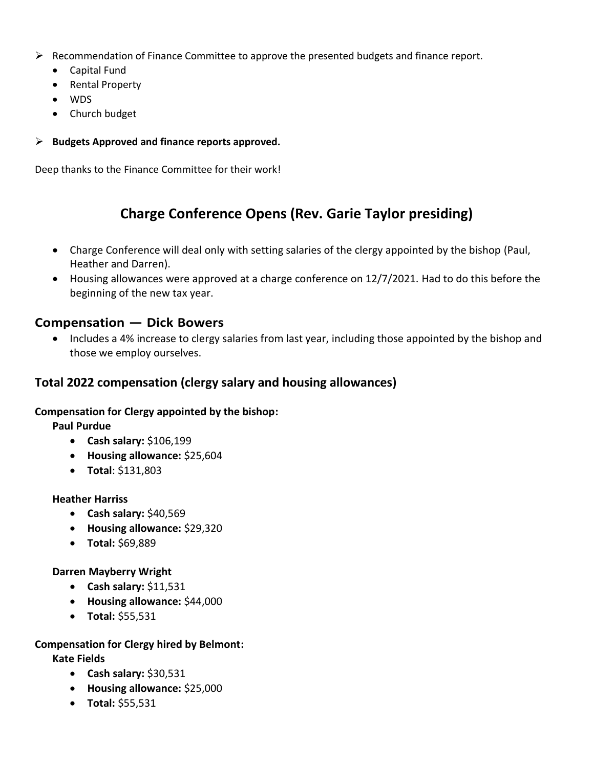- $\triangleright$  Recommendation of Finance Committee to approve the presented budgets and finance report.
	- Capital Fund
	- Rental Property
	- WDS
	- Church budget
- ➢ **Budgets Approved and finance reports approved.**

Deep thanks to the Finance Committee for their work!

## **Charge Conference Opens (Rev. Garie Taylor presiding)**

- Charge Conference will deal only with setting salaries of the clergy appointed by the bishop (Paul, Heather and Darren).
- Housing allowances were approved at a charge conference on 12/7/2021. Had to do this before the beginning of the new tax year.

### **Compensation — Dick Bowers**

• Includes a 4% increase to clergy salaries from last year, including those appointed by the bishop and those we employ ourselves.

## **Total 2022 compensation (clergy salary and housing allowances)**

#### **Compensation for Clergy appointed by the bishop:**

**Paul Purdue**

- **Cash salary:** \$106,199
- **Housing allowance:** \$25,604
- **Total**: \$131,803

#### **Heather Harriss**

- **Cash salary:** \$40,569
- **Housing allowance:** \$29,320
- **Total:** \$69,889

#### **Darren Mayberry Wright**

- **Cash salary:** \$11,531
- **Housing allowance:** \$44,000
- **Total:** \$55,531

#### **Compensation for Clergy hired by Belmont:**

**Kate Fields**

- **Cash salary:** \$30,531
- **Housing allowance:** \$25,000
- **Total:** \$55,531